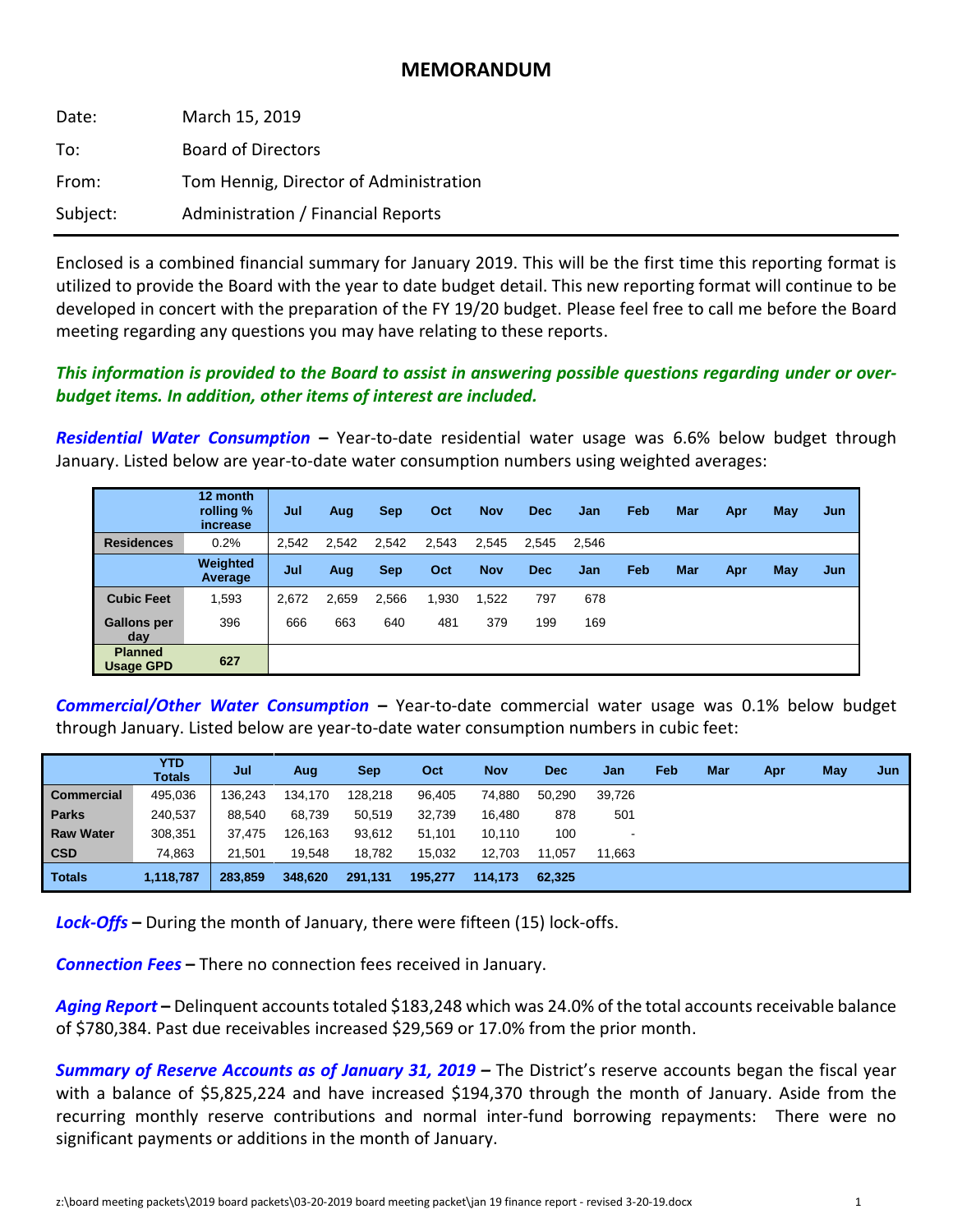# **MEMORANDUM**

| Date:    | March 15, 2019                         |
|----------|----------------------------------------|
| To:      | <b>Board of Directors</b>              |
| From:    | Tom Hennig, Director of Administration |
| Subject: | Administration / Financial Reports     |

Enclosed is a combined financial summary for January 2019. This will be the first time this reporting format is utilized to provide the Board with the year to date budget detail. This new reporting format will continue to be developed in concert with the preparation of the FY 19/20 budget. Please feel free to call me before the Board meeting regarding any questions you may have relating to these reports.

## *This information is provided to the Board to assist in answering possible questions regarding under or overbudget items. In addition, other items of interest are included.*

*Residential Water Consumption* **–** Year-to-date residential water usage was 6.6% below budget through January. Listed below are year-to-date water consumption numbers using weighted averages:

|                                    | 12 month<br>rolling %<br>increase | Jul   | Aug        | <b>Sep</b> | Oct   | <b>Nov</b> | <b>Dec</b> | Jan   | Feb | <b>Mar</b> | Apr | May | Jun |
|------------------------------------|-----------------------------------|-------|------------|------------|-------|------------|------------|-------|-----|------------|-----|-----|-----|
| <b>Residences</b>                  | 0.2%                              | 2,542 | 2,542      | 2,542      | 2,543 | 2,545      | 2,545      | 2.546 |     |            |     |     |     |
|                                    | Weighted<br>Average               | Jul   | <b>Aug</b> | <b>Sep</b> | Oct   | <b>Nov</b> | <b>Dec</b> | Jan   | Feb | Mar        | Apr | May | Jun |
| <b>Cubic Feet</b>                  | 1,593                             | 2,672 | 2,659      | 2,566      | 1,930 | 1,522      | 797        | 678   |     |            |     |     |     |
| <b>Gallons per</b><br>day          | 396                               | 666   | 663        | 640        | 481   | 379        | 199        | 169   |     |            |     |     |     |
| <b>Planned</b><br><b>Usage GPD</b> | 627                               |       |            |            |       |            |            |       |     |            |     |     |     |

*Commercial/Other Water Consumption* **–** Year-to-date commercial water usage was 0.1% below budget through January. Listed below are year-to-date water consumption numbers in cubic feet:

|                   | YTD<br><b>Totals</b> | Jul     | Aug     | Sep     | Oct     | <b>Nov</b> | <b>Dec</b> | Jan    | Feb | Mar | Apr | May | Jun |
|-------------------|----------------------|---------|---------|---------|---------|------------|------------|--------|-----|-----|-----|-----|-----|
| <b>Commercial</b> | 495,036              | 136.243 | 134.170 | 128.218 | 96.405  | 74,880     | 50.290     | 39.726 |     |     |     |     |     |
| <b>Parks</b>      | 240,537              | 88.540  | 68,739  | 50.519  | 32.739  | 16.480     | 878        | 501    |     |     |     |     |     |
| <b>Raw Water</b>  | 308,351              | 37.475  | 126.163 | 93,612  | 51,101  | 10.110     | 100        |        |     |     |     |     |     |
| <b>CSD</b>        | 74.863               | 21.501  | 19.548  | 18.782  | 15.032  | 12,703     | 11.057     | 11.663 |     |     |     |     |     |
| <b>Totals</b>     | 1.118.787            | 283,859 | 348.620 | 291,131 | 195.277 | 114.173    | 62.325     |        |     |     |     |     |     |

*Lock-Offs* **–** During the month of January, there were fifteen (15) lock-offs.

*Connection Fees* **–** There no connection fees received in January.

*Aging Report* **–** Delinquent accounts totaled \$183,248 which was 24.0% of the total accounts receivable balance of \$780,384. Past due receivables increased \$29,569 or 17.0% from the prior month.

*Summary of Reserve Accounts as of January 31, 2019 –* The District's reserve accounts began the fiscal year with a balance of \$5,825,224 and have increased \$194,370 through the month of January. Aside from the recurring monthly reserve contributions and normal inter-fund borrowing repayments: There were no significant payments or additions in the month of January.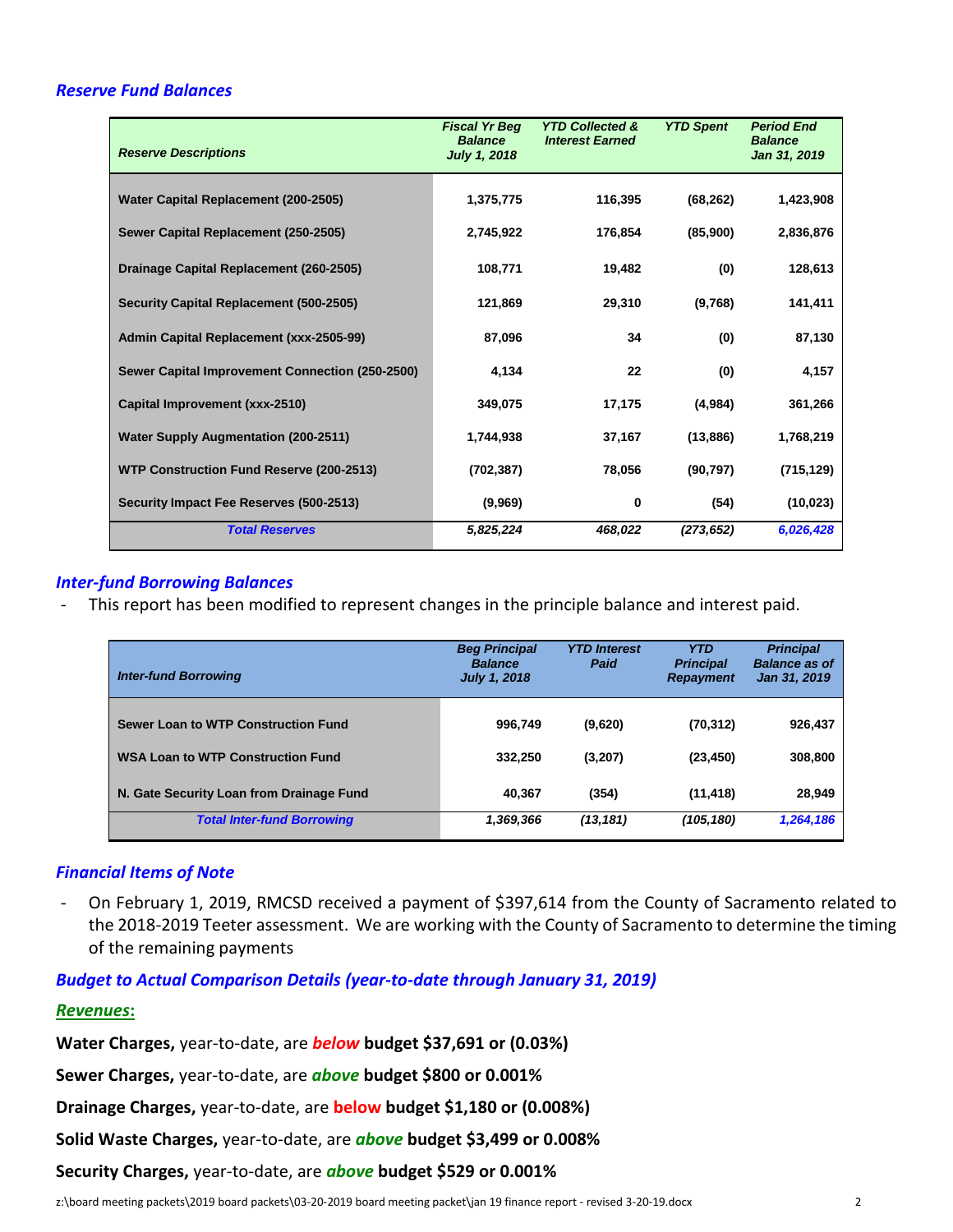### *Reserve Fund Balances*

| <b>Reserve Descriptions</b>                     | <b>Fiscal Yr Beg</b><br><b>Balance</b><br><b>July 1, 2018</b> | <b>YTD Collected &amp;</b><br><b>Interest Earned</b> | <b>YTD Spent</b> | <b>Period End</b><br><b>Balance</b><br>Jan 31, 2019 |
|-------------------------------------------------|---------------------------------------------------------------|------------------------------------------------------|------------------|-----------------------------------------------------|
| Water Capital Replacement (200-2505)            | 1,375,775                                                     | 116,395                                              | (68, 262)        | 1,423,908                                           |
| Sewer Capital Replacement (250-2505)            | 2,745,922                                                     | 176,854                                              | (85,900)         | 2,836,876                                           |
| Drainage Capital Replacement (260-2505)         | 108,771                                                       | 19,482                                               | (0)              | 128,613                                             |
| <b>Security Capital Replacement (500-2505)</b>  | 121,869                                                       | 29,310                                               | (9,768)          | 141,411                                             |
| Admin Capital Replacement (xxx-2505-99)         | 87,096                                                        | 34                                                   | (0)              | 87,130                                              |
| Sewer Capital Improvement Connection (250-2500) | 4,134                                                         | 22                                                   | (0)              | 4,157                                               |
| Capital Improvement (xxx-2510)                  | 349,075                                                       | 17,175                                               | (4,984)          | 361,266                                             |
| <b>Water Supply Augmentation (200-2511)</b>     | 1,744,938                                                     | 37,167                                               | (13, 886)        | 1,768,219                                           |
| <b>WTP Construction Fund Reserve (200-2513)</b> | (702, 387)                                                    | 78,056                                               | (90, 797)        | (715, 129)                                          |
| Security Impact Fee Reserves (500-2513)         | (9,969)                                                       | 0                                                    | (54)             | (10, 023)                                           |
| <b>Total Reserves</b>                           | 5,825,224                                                     | 468,022                                              | (273, 652)       | 6,026,428                                           |

## *Inter-fund Borrowing Balances*

This report has been modified to represent changes in the principle balance and interest paid.

| <b>Inter-fund Borrowing</b>              | <b>Beg Principal</b><br><b>Balance</b><br><b>July 1, 2018</b> | <b>YTD Interest</b><br>Paid | <b>YTD</b><br><b>Principal</b><br><b>Repayment</b> | <b>Principal</b><br><b>Balance as of</b><br>Jan 31, 2019 |
|------------------------------------------|---------------------------------------------------------------|-----------------------------|----------------------------------------------------|----------------------------------------------------------|
| Sewer Loan to WTP Construction Fund      | 996,749                                                       | (9,620)                     | (70, 312)                                          | 926,437                                                  |
| <b>WSA Loan to WTP Construction Fund</b> | 332,250                                                       | (3,207)                     | (23, 450)                                          | 308,800                                                  |
| N. Gate Security Loan from Drainage Fund | 40,367                                                        | (354)                       | (11, 418)                                          | 28,949                                                   |
| <b>Total Inter-fund Borrowing</b>        | 1,369,366                                                     | (13, 181)                   | (105,180)                                          | 1,264,186                                                |

## *Financial Items of Note*

On February 1, 2019, RMCSD received a payment of \$397,614 from the County of Sacramento related to the 2018-2019 Teeter assessment. We are working with the County of Sacramento to determine the timing of the remaining payments

*Budget to Actual Comparison Details (year-to-date through January 31, 2019)*

#### *Revenues***:**

**Water Charges,** year-to-date, are *below* **budget \$37,691 or (0.03%)**

**Sewer Charges,** year-to-date, are *above* **budget \$800 or 0.001%**

**Drainage Charges,** year-to-date, are **below budget \$1,180 or (0.008%)**

**Solid Waste Charges,** year-to-date, are *above* **budget \$3,499 or 0.008%**

**Security Charges,** year-to-date, are *above* **budget \$529 or 0.001%**